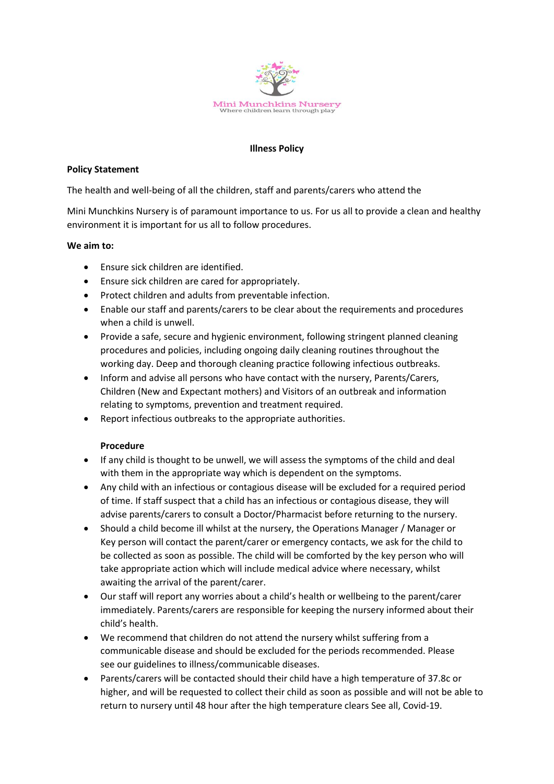

### **Illness Policy**

### **Policy Statement**

The health and well-being of all the children, staff and parents/carers who attend the

Mini Munchkins Nursery is of paramount importance to us. For us all to provide a clean and healthy environment it is important for us all to follow procedures.

### **We aim to:**

- Ensure sick children are identified.
- Ensure sick children are cared for appropriately.
- Protect children and adults from preventable infection.
- Enable our staff and parents/carers to be clear about the requirements and procedures when a child is unwell.
- Provide a safe, secure and hygienic environment, following stringent planned cleaning procedures and policies, including ongoing daily cleaning routines throughout the working day. Deep and thorough cleaning practice following infectious outbreaks.
- Inform and advise all persons who have contact with the nursery, Parents/Carers, Children (New and Expectant mothers) and Visitors of an outbreak and information relating to symptoms, prevention and treatment required.
- Report infectious outbreaks to the appropriate authorities.

## **Procedure**

- If any child is thought to be unwell, we will assess the symptoms of the child and deal with them in the appropriate way which is dependent on the symptoms.
- Any child with an infectious or contagious disease will be excluded for a required period of time. If staff suspect that a child has an infectious or contagious disease, they will advise parents/carers to consult a Doctor/Pharmacist before returning to the nursery.
- Should a child become ill whilst at the nursery, the Operations Manager / Manager or Key person will contact the parent/carer or emergency contacts, we ask for the child to be collected as soon as possible. The child will be comforted by the key person who will take appropriate action which will include medical advice where necessary, whilst awaiting the arrival of the parent/carer.
- Our staff will report any worries about a child's health or wellbeing to the parent/carer immediately. Parents/carers are responsible for keeping the nursery informed about their child's health.
- We recommend that children do not attend the nursery whilst suffering from a communicable disease and should be excluded for the periods recommended. Please see our guidelines to illness/communicable diseases.
- Parents/carers will be contacted should their child have a high temperature of 37.8c or higher, and will be requested to collect their child as soon as possible and will not be able to return to nursery until 48 hour after the high temperature clears See all, Covid-19.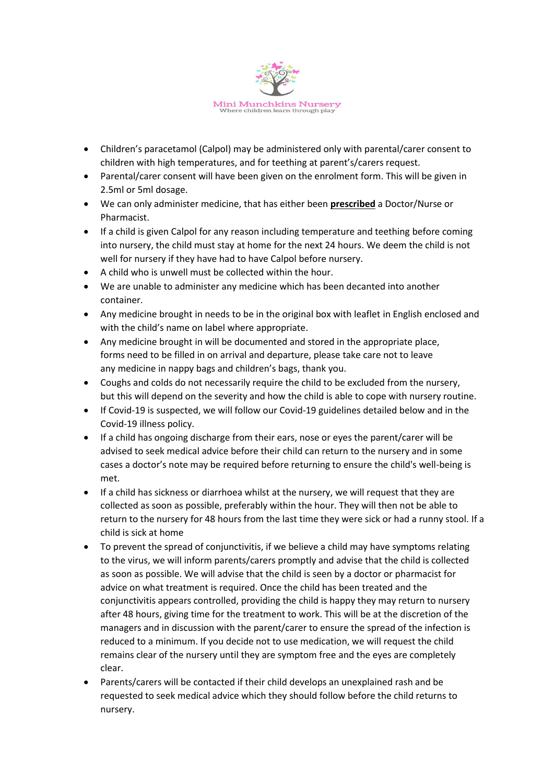

- Children's paracetamol (Calpol) may be administered only with parental/carer consent to children with high temperatures, and for teething at parent's/carers request.
- Parental/carer consent will have been given on the enrolment form. This will be given in 2.5ml or 5ml dosage.
- We can only administer medicine, that has either been **prescribed** a Doctor/Nurse or Pharmacist.
- If a child is given Calpol for any reason including temperature and teething before coming into nursery, the child must stay at home for the next 24 hours. We deem the child is not well for nursery if they have had to have Calpol before nursery.
- A child who is unwell must be collected within the hour.
- We are unable to administer any medicine which has been decanted into another container.
- Any medicine brought in needs to be in the original box with leaflet in English enclosed and with the child's name on label where appropriate.
- Any medicine brought in will be documented and stored in the appropriate place, forms need to be filled in on arrival and departure, please take care not to leave any medicine in nappy bags and children's bags, thank you.
- Coughs and colds do not necessarily require the child to be excluded from the nursery, but this will depend on the severity and how the child is able to cope with nursery routine.
- If Covid-19 is suspected, we will follow our Covid-19 guidelines detailed below and in the Covid-19 illness policy.
- If a child has ongoing discharge from their ears, nose or eyes the parent/carer will be advised to seek medical advice before their child can return to the nursery and in some cases a doctor's note may be required before returning to ensure the child's well-being is met.
- If a child has sickness or diarrhoea whilst at the nursery, we will request that they are collected as soon as possible, preferably within the hour. They will then not be able to return to the nursery for 48 hours from the last time they were sick or had a runny stool. If a child is sick at home
- To prevent the spread of conjunctivitis, if we believe a child may have symptoms relating to the virus, we will inform parents/carers promptly and advise that the child is collected as soon as possible. We will advise that the child is seen by a doctor or pharmacist for advice on what treatment is required. Once the child has been treated and the conjunctivitis appears controlled, providing the child is happy they may return to nursery after 48 hours, giving time for the treatment to work. This will be at the discretion of the managers and in discussion with the parent/carer to ensure the spread of the infection is reduced to a minimum. If you decide not to use medication, we will request the child remains clear of the nursery until they are symptom free and the eyes are completely clear.
- Parents/carers will be contacted if their child develops an unexplained rash and be requested to seek medical advice which they should follow before the child returns to nursery.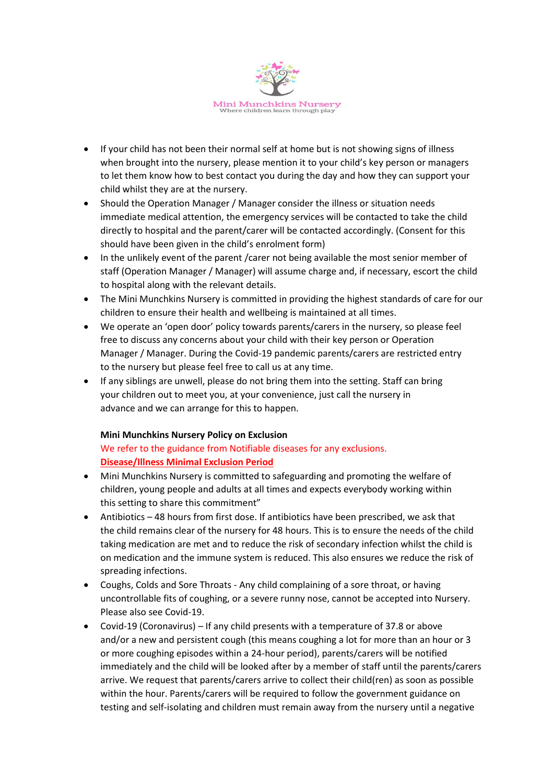

- If your child has not been their normal self at home but is not showing signs of illness when brought into the nursery, please mention it to your child's key person or managers to let them know how to best contact you during the day and how they can support your child whilst they are at the nursery.
- Should the Operation Manager / Manager consider the illness or situation needs immediate medical attention, the emergency services will be contacted to take the child directly to hospital and the parent/carer will be contacted accordingly. (Consent for this should have been given in the child's enrolment form)
- In the unlikely event of the parent /carer not being available the most senior member of staff (Operation Manager / Manager) will assume charge and, if necessary, escort the child to hospital along with the relevant details.
- The Mini Munchkins Nursery is committed in providing the highest standards of care for our children to ensure their health and wellbeing is maintained at all times.
- We operate an 'open door' policy towards parents/carers in the nursery, so please feel free to discuss any concerns about your child with their key person or Operation Manager / Manager. During the Covid-19 pandemic parents/carers are restricted entry to the nursery but please feel free to call us at any time.
- If any siblings are unwell, please do not bring them into the setting. Staff can bring your children out to meet you, at your convenience, just call the nursery in advance and we can arrange for this to happen.

## **Mini Munchkins Nursery Policy on Exclusion**

# We refer to the guidance from Notifiable diseases for any exclusions. **Disease/Illness Minimal Exclusion Period**

- Mini Munchkins Nursery is committed to safeguarding and promoting the welfare of children, young people and adults at all times and expects everybody working within this setting to share this commitment"
- Antibiotics 48 hours from first dose. If antibiotics have been prescribed, we ask that the child remains clear of the nursery for 48 hours. This is to ensure the needs of the child taking medication are met and to reduce the risk of secondary infection whilst the child is on medication and the immune system is reduced. This also ensures we reduce the risk of spreading infections.
- Coughs, Colds and Sore Throats Any child complaining of a sore throat, or having uncontrollable fits of coughing, or a severe runny nose, cannot be accepted into Nursery. Please also see Covid-19.
- Covid-19 (Coronavirus) If any child presents with a temperature of 37.8 or above and/or a new and persistent cough (this means coughing a lot for more than an hour or 3 or more coughing episodes within a 24-hour period), parents/carers will be notified immediately and the child will be looked after by a member of staff until the parents/carers arrive. We request that parents/carers arrive to collect their child(ren) as soon as possible within the hour. Parents/carers will be required to follow the government guidance on testing and self-isolating and children must remain away from the nursery until a negative